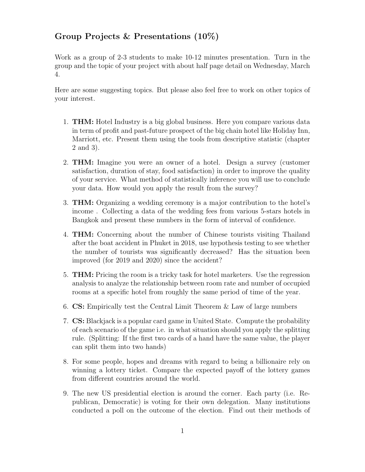## Group Projects & Presentations (10%)

Work as a group of 2-3 students to make 10-12 minutes presentation. Turn in the group and the topic of your project with about half page detail on Wednesday, March 4.

Here are some suggesting topics. But please also feel free to work on other topics of your interest.

- 1. THM: Hotel Industry is a big global business. Here you compare various data in term of profit and past-future prospect of the big chain hotel like Holiday Inn, Marriott, etc. Present them using the tools from descriptive statistic (chapter 2 and 3).
- 2. THM: Imagine you were an owner of a hotel. Design a survey (customer satisfaction, duration of stay, food satisfaction) in order to improve the quality of your service. What method of statistically inference you will use to conclude your data. How would you apply the result from the survey?
- 3. THM: Organizing a wedding ceremony is a major contribution to the hotel's income . Collecting a data of the wedding fees from various 5-stars hotels in Bangkok and present these numbers in the form of interval of confidence.
- 4. THM: Concerning about the number of Chinese tourists visiting Thailand after the boat accident in Phuket in 2018, use hypothesis testing to see whether the number of tourists was significantly decreased? Has the situation been improved (for 2019 and 2020) since the accident?
- 5. THM: Pricing the room is a tricky task for hotel marketers. Use the regression analysis to analyze the relationship between room rate and number of occupied rooms at a specific hotel from roughly the same period of time of the year.
- 6. CS: Empirically test the Central Limit Theorem & Law of large numbers
- 7. CS: Blackjack is a popular card game in United State. Compute the probability of each scenario of the game i.e. in what situation should you apply the splitting rule. (Splitting: If the first two cards of a hand have the same value, the player can split them into two hands)
- 8. For some people, hopes and dreams with regard to being a billionaire rely on winning a lottery ticket. Compare the expected payoff of the lottery games from different countries around the world.
- 9. The new US presidential election is around the corner. Each party (i.e. Republican, Democratic) is voting for their own delegation. Many institutions conducted a poll on the outcome of the election. Find out their methods of